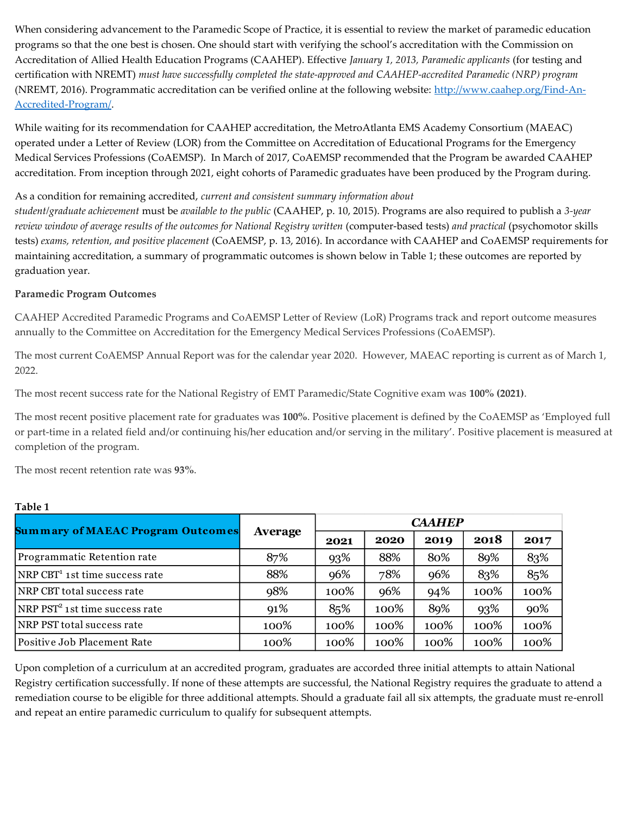When considering advancement to the Paramedic Scope of Practice, it is essential to review the market of paramedic education programs so that the one best is chosen. One should start with verifying the school's accreditation with the Commission on Accreditation of Allied Health Education Programs (CAAHEP). Effective *January 1, 2013, Paramedic applicants* (for testing and certification with NREMT) *must have successfully completed the state-approved and CAAHEP-accredited Paramedic (NRP) program*  (NREMT, 2016). Programmatic accreditation can be verified online at the following website: [http://www.caahep.org/Find-An-](http://www.caahep.org/Find-An-Accredited-Program/)[Accredited-Program/.](http://www.caahep.org/Find-An-Accredited-Program/)

While waiting for its recommendation for CAAHEP accreditation, the MetroAtlanta EMS Academy Consortium (MAEAC) operated under a Letter of Review (LOR) from the Committee on Accreditation of Educational Programs for the Emergency Medical Services Professions (CoAEMSP). In March of 2017, CoAEMSP recommended that the Program be awarded CAAHEP accreditation. From inception through 2021, eight cohorts of Paramedic graduates have been produced by the Program during.

#### As a condition for remaining accredited, *current and consistent summary information about*

*student/graduate achievement* must be *available to the public* (CAAHEP, p. 10, 2015). Programs are also required to publish a *3-year review window of average results of the outcomes for National Registry written* (computer-based tests) *and practical* (psychomotor skills tests) *exams, retention, and positive placement* (CoAEMSP, p. 13, 2016). In accordance with CAAHEP and CoAEMSP requirements for maintaining accreditation, a summary of programmatic outcomes is shown below in Table 1; these outcomes are reported by graduation year.

### **Paramedic Program Outcomes**

CAAHEP Accredited Paramedic Programs and CoAEMSP Letter of Review (LoR) Programs track and report outcome measures annually to the Committee on Accreditation for the Emergency Medical Services Professions (CoAEMSP).

The most current CoAEMSP Annual Report was for the calendar year 2020. However, MAEAC reporting is current as of March 1, 2022.

The most recent success rate for the National Registry of EMT Paramedic/State Cognitive exam was **100% (2021)**.

The most recent positive placement rate for graduates was **100%**. Positive placement is defined by the CoAEMSP as 'Employed full or part-time in a related field and/or continuing his/her education and/or serving in the military'. Positive placement is measured at completion of the program.

The most recent retention rate was **93%**.

| <b>Summary of MAEAC Program Outcomes</b>   | Average | <b>CAAHEP</b> |      |      |      |      |  |
|--------------------------------------------|---------|---------------|------|------|------|------|--|
|                                            |         | 2021          | 2020 | 2019 | 2018 | 2017 |  |
| Programmatic Retention rate                | 87%     | 93%           | 88%  | 80%  | 89%  | 83%  |  |
| NRP CBT <sup>1</sup> 1st time success rate | 88%     | 96%           | 78%  | 96%  | 83%  | 85%  |  |
| NRP CBT total success rate                 | 98%     | 100%          | 96%  | 94%  | 100% | 100% |  |
| NRP PST <sup>2</sup> 1st time success rate | 91%     | 85%           | 100% | 89%  | 93%  | 90%  |  |
| NRP PST total success rate                 | 100%    | 100%          | 100% | 100% | 100% | 100% |  |
| Positive Job Placement Rate                | 100%    | 100%          | 100% | 100% | 100% | 100% |  |

### **Table 1**

Upon completion of a curriculum at an accredited program, graduates are accorded three initial attempts to attain National Registry certification successfully. If none of these attempts are successful, the National Registry requires the graduate to attend a remediation course to be eligible for three additional attempts. Should a graduate fail all six attempts, the graduate must re-enroll and repeat an entire paramedic curriculum to qualify for subsequent attempts.